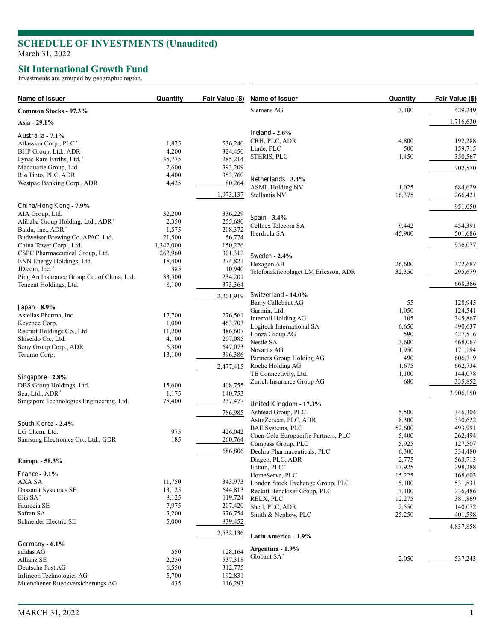## **SCHEDULE OF INVESTMENTS (Unaudited )** March 31, 2022

## **Sit International Growth Fund**

Investments are grouped by geographic region.

| Name of Issuer                             | Quantity  | Fair Value (\$) | Name of Issuer                       | Quantity       | Fair Value (\$) |
|--------------------------------------------|-----------|-----------------|--------------------------------------|----------------|-----------------|
| Common Stocks - 97.3%                      |           |                 | Siemens AG                           | 3,100          | 429,249         |
| Asia - 29.1%                               |           |                 |                                      |                | 1,716,630       |
| Australia - 7.1%                           |           |                 | Ireland - $2.6\%$                    |                |                 |
| Atlassian Corp., PLC*                      | 1,825     | 536,240         | CRH, PLC, ADR                        | 4,800          | 192,288         |
| BHP Group, Ltd., ADR                       | 4,200     | 324,450         | Linde, PLC                           | 500            | 159,715         |
| Lynas Rare Earths, Ltd.*                   | 35,775    | 285,214         | STERIS, PLC                          | 1,450          | 350,567         |
| Macquarie Group, Ltd.                      | 2,600     | 393,209         |                                      |                | 702,570         |
| Rio Tinto, PLC, ADR                        | 4,400     | 353,760         |                                      |                |                 |
| Westpac Banking Corp., ADR                 | 4,425     | 80,264          | Netherlands - 3.4%                   |                |                 |
|                                            |           |                 | <b>ASML Holding NV</b>               | 1,025          | 684,629         |
|                                            |           | 1,973,137       | Stellantis NV                        | 16,375         | 266,421         |
| China/Hong Kong - 7.9%                     |           |                 |                                      |                | 951,050         |
| AIA Group, Ltd.                            | 32,200    | 336,229         |                                      |                |                 |
| Alibaba Group Holding, Ltd., ADR*          | 2,350     | 255,680         | Spain - $3.4\%$                      |                |                 |
| Baidu, Inc., ADR <sup>*</sup>              | 1,575     | 208,372         | Cellnex Telecom SA                   | 9,442          | 454,391         |
| Budweiser Brewing Co. APAC, Ltd.           | 21,500    | 56,774          | Iberdrola SA                         | 45,900         | 501,686         |
| China Tower Corp., Ltd.                    | 1,342,000 | 150,226         |                                      |                | 956,077         |
| CSPC Pharmaceutical Group, Ltd.            | 262,960   | 301,312         |                                      |                |                 |
| ENN Energy Holdings, Ltd.                  | 18,400    | 274,821         | <b>Sweden - 2.4%</b>                 |                |                 |
| JD.com, Inc.*                              | 385       | 10,940          | Hexagon AB                           | 26,600         | 372,687         |
| Ping An Insurance Group Co. of China, Ltd. | 33,500    | 234,201         | Telefonaktiebolaget LM Ericsson, ADR | 32,350         | 295,679         |
| Tencent Holdings, Ltd.                     | 8,100     | 373,364         |                                      |                | 668,366         |
|                                            |           |                 | Switzerland - $14.0\%$               |                |                 |
|                                            |           | 2,201,919       | Barry Callebaut AG                   | 55             | 128,945         |
| <b>Japan</b> - 8.9%                        |           |                 | Garmin, Ltd.                         | 1,050          | 124,541         |
| Astellas Pharma, Inc.                      | 17,700    | 276,561         | Interroll Holding AG                 | 105            | 345,867         |
| Keyence Corp.                              | 1,000     | 463,703         |                                      |                | 490,637         |
| Recruit Holdings Co., Ltd.                 | 11,200    | 486,607         | Logitech International SA            | 6,650<br>590   |                 |
| Shiseido Co., Ltd.                         | 4,100     | 207,085         | Lonza Group AG                       |                | 427,516         |
| Sony Group Corp., ADR                      | 6,300     | 647,073         | Nestle SA<br>Novartis AG             | 3,600<br>1,950 | 468,067         |
| Terumo Corp.                               | 13,100    | 396,386         |                                      | 490            | 171,194         |
|                                            |           |                 | Partners Group Holding AG            |                | 606,719         |
|                                            |           | 2,477,415       | Roche Holding AG                     | 1,675          | 662,734         |
| Singapore - 2.8%                           |           |                 | TE Connectivity, Ltd.                | 1,100          | 144,078         |
| DBS Group Holdings, Ltd.                   | 15,600    | 408,755         | Zurich Insurance Group AG            | 680            | 335,852         |
| Sea, Ltd., ADR <sup>*</sup>                | 1,175     | 140,753         |                                      |                | 3,906,150       |
| Singapore Technologies Engineering, Ltd.   | 78,400    | 237,477         | United Kingdom - 17.3%               |                |                 |
|                                            |           | 786,985         | Ashtead Group, PLC                   | 5,500          | 346,304         |
|                                            |           |                 | AstraZeneca, PLC, ADR                | 8,300          | 550,622         |
| South Korea - 2.4%                         |           |                 | BAE Systems, PLC                     | 52,600         | 493,991         |
| LG Chem, Ltd.                              | 975       | 426,042         |                                      | 5,400          |                 |
| Samsung Electronics Co., Ltd., GDR         | 185       | 260,764         | Coca-Cola Europacific Partners, PLC  |                | 262,494         |
|                                            |           | 686,806         | Compass Group, PLC                   | 5,925<br>6,300 | 127,507         |
|                                            |           |                 | Dechra Pharmaceuticals, PLC          |                | 334,480         |
| Europe - 58.3%                             |           |                 | Diageo, PLC, ADR                     | 2,775          | 563,713         |
| <b>France - 9.1%</b>                       |           |                 | Entain, PLC*                         | 13,925         | 298,288         |
| AXA SA                                     | 11,750    | 343,973         | HomeServe, PLC                       | 15,225         | 168,603         |
| Dassault Systemes SE                       | 13,125    | 644,813         | London Stock Exchange Group, PLC     | 5,100          | 531,831         |
| Elis SA <sup>*</sup>                       | 8,125     | 119,724         | Reckitt Benckiser Group, PLC         | 3,100          | 236,486         |
| Faurecia SE                                | 7,975     | 207,420         | RELX, PLC                            | 12,275         | 381,869         |
| Safran SA                                  | 3,200     | 376,754         | Shell, PLC, ADR                      | 2,550          | 140,072         |
| Schneider Electric SE                      | 5,000     | 839,452         | Smith & Nephew, PLC                  | 25,250         | 401,598         |
|                                            |           |                 |                                      |                | 4,837,858       |
|                                            |           | 2,532,136       | Latin America - 1.9%                 |                |                 |
| Germany - $6.1\%$                          |           |                 |                                      |                |                 |
| adidas AG                                  | 550       | 128,164         | Argentina - 1.9%<br>Globant SA*      |                |                 |
| Allianz SE                                 | 2,250     | 537,318         |                                      | 2,050          | 537,243         |
| Deutsche Post AG                           | 6,550     | 312,775         |                                      |                |                 |
| Infineon Technologies AG                   | 5,700     | 192,831         |                                      |                |                 |
| Muenchener Rueckversicherungs AG           | 435       | 116,293         |                                      |                |                 |